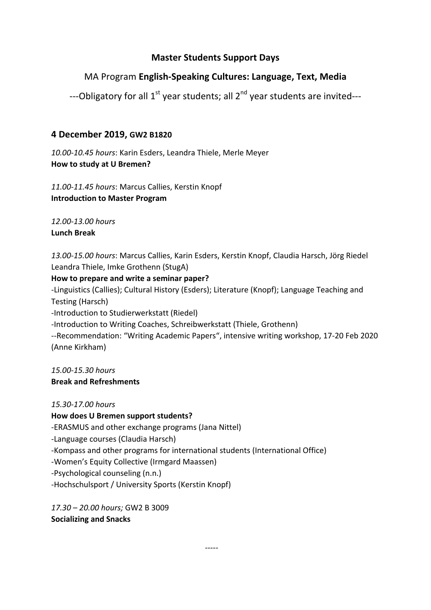### **Master Students Support Days**

# MA Program **English‐Speaking Cultures: Language, Text, Media**

---Obligatory for all 1<sup>st</sup> year students; all 2<sup>nd</sup> year students are invited---

#### **4 December 2019, GW2 B1820**

*10.00‐10.45 hours*: Karin Esders, Leandra Thiele, Merle Meyer **How to study at U Bremen?**

*11.00‐11.45 hours*: Marcus Callies, Kerstin Knopf **Introduction to Master Program**

*12.00‐13.00 hours*  **Lunch Break**

*13.00‐15.00 hours*: Marcus Callies, Karin Esders, Kerstin Knopf, Claudia Harsch, Jörg Riedel Leandra Thiele, Imke Grothenn (StugA)

**How to prepare and write a seminar paper?** 

‐Linguistics (Callies); Cultural History (Esders); Literature (Knopf); Language Teaching and Testing (Harsch)

‐Introduction to Studierwerkstatt (Riedel)

‐Introduction to Writing Coaches, Schreibwerkstatt (Thiele, Grothenn)

‐‐Recommendation: "Writing Academic Papers", intensive writing workshop, 17‐20 Feb 2020 (Anne Kirkham)

*15.00‐15.30 hours*  **Break and Refreshments**

*15.30‐17.00 hours* **How does U Bremen support students?** ‐ERASMUS and other exchange programs (Jana Nittel) ‐Language courses (Claudia Harsch) ‐Kompass and other programs for international students (International Office) ‐Women's Equity Collective (Irmgard Maassen) ‐Psychological counseling (n.n.) ‐Hochschulsport / University Sports (Kerstin Knopf)

*17.30 – 20.00 hours;* GW2 B 3009 **Socializing and Snacks** 

estas en la constanta de la constanta de la constanta de la constanta de la constanta de la constanta de la co<br>La constanta de la constanta de la constanta de la constanta de la constanta de la constanta de la constanta d